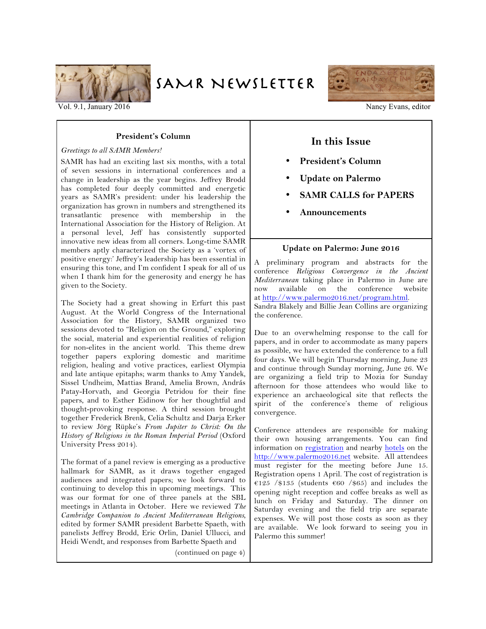

SAMR NEWSLETTER



Vol. 9.1, January 2016 Nancy Evans, editor Nancy Evans, editor Nancy Evans, editor

## **President's Column**

#### *Greetings to all SAMR Members!*

SAMR has had an exciting last six months, with a total of seven sessions in international conferences and a change in leadership as the year begins. Jeffrey Brodd has completed four deeply committed and energetic years as SAMR's president: under his leadership the organization has grown in numbers and strengthened its transatlantic presence with membership in the International Association for the History of Religion. At a personal level, Jeff has consistently supported innovative new ideas from all corners. Long-time SAMR members aptly characterized the Society as a 'vortex of positive energy:' Jeffrey's leadership has been essential in ensuring this tone, and I'm confident I speak for all of us when I thank him for the generosity and energy he has given to the Society.

The Society had a great showing in Erfurt this past August. At the World Congress of the International Association for the History, SAMR organized two sessions devoted to "Religion on the Ground," exploring the social, material and experiential realities of religion for non-elites in the ancient world. This theme drew together papers exploring domestic and maritime religion, healing and votive practices, earliest Olympia and late antique epitaphs; warm thanks to Amy Yandek, Sissel Undheim, Mattias Brand, Amelia Brown, András Patay-Horvath, and Georgia Petridou for their fine papers, and to Esther Eidinow for her thoughtful and thought-provoking response. A third session brought together Frederick Brenk, Celia Schultz and Darja Erker to review Jörg Rüpke's *From Jupiter to Christ: On the History of Religions in the Roman Imperial Period* (Oxford University Press 2014).

The format of a panel review is emerging as a productive hallmark for SAMR, as it draws together engaged audiences and integrated papers; we look forward to continuing to develop this in upcoming meetings. This was our format for one of three panels at the SBL meetings in Atlanta in October. Here we reviewed *The Cambridge Companion to Ancient Mediterranean Religions,*  edited by former SAMR president Barbette Spaeth, with panelists Jeffrey Brodd, Eric Orlin, Daniel Ullucci, and Heidi Wendt, and responses from Barbette Spaeth and

(continued on page 4)

# **In this Issue**

- **President's Column**
- **Update on Palermo**
- **SAMR CALLS for PAPERS**
- **Announcements**

### **Update on Palermo: June 2016**

A preliminary program and abstracts for the conference *Religious Convergence in the Ancient Mediterranean* taking place in Palermo in June are now available on the conference website at http://www.palermo2016.net/program.html. Sandra Blakely and Billie Jean Collins are organizing the conference.

Due to an overwhelming response to the call for papers, and in order to accommodate as many papers as possible, we have extended the conference to a full four days. We will begin Thursday morning, June 23 and continue through Sunday morning, June 26. We are organizing a field trip to Mozia for Sunday afternoon for those attendees who would like to experience an archaeological site that reflects the spirit of the conference's theme of religious convergence.

Conference attendees are responsible for making their own housing arrangements. You can find information on registration and nearby hotels on the http://www.palermo2016.net website. All attendees must register for the meeting before June 15. Registration opens 1 April. The cost of registration is €125 /\$135 (students €60 /\$65) and includes the opening night reception and coffee breaks as well as lunch on Friday and Saturday. The dinner on Saturday evening and the field trip are separate expenses. We will post those costs as soon as they are available. We look forward to seeing you in Palermo this summer!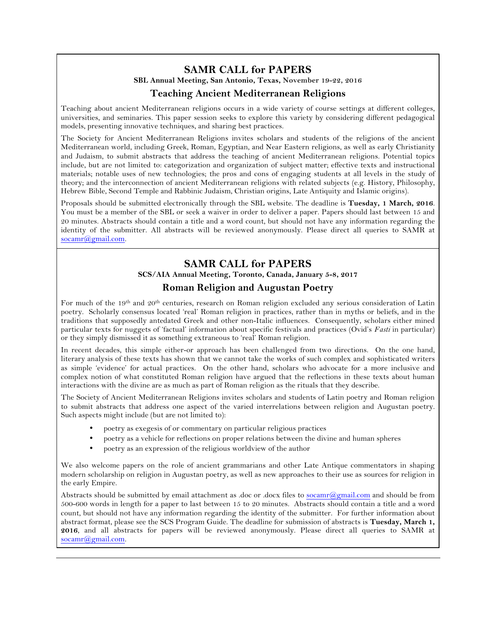# **SAMR CALL for PAPERS**

**SBL Annual Meeting, San Antonio, Texas, November 19-22, 2016**

# **Teaching Ancient Mediterranean Religions**

Teaching about ancient Mediterranean religions occurs in a wide variety of course settings at different colleges, universities, and seminaries. This paper session seeks to explore this variety by considering different pedagogical models, presenting innovative techniques, and sharing best practices.

The Society for Ancient Mediterranean Religions invites scholars and students of the religions of the ancient Mediterranean world, including Greek, Roman, Egyptian, and Near Eastern religions, as well as early Christianity and Judaism, to submit abstracts that address the teaching of ancient Mediterranean religions. Potential topics include, but are not limited to: categorization and organization of subject matter; effective texts and instructional materials; notable uses of new technologies; the pros and cons of engaging students at all levels in the study of theory; and the interconnection of ancient Mediterranean religions with related subjects (e.g. History, Philosophy, Hebrew Bible, Second Temple and Rabbinic Judaism, Christian origins, Late Antiquity and Islamic origins).

Proposals should be submitted electronically through the SBL website. The deadline is **Tuesday, 1 March, 2016**. You must be a member of the SBL or seek a waiver in order to deliver a paper. Papers should last between 15 and 20 minutes. Abstracts should contain a title and a word count, but should not have any information regarding the identity of the submitter. All abstracts will be reviewed anonymously. Please direct all queries to SAMR at socamr@gmail.com.

# **SAMR CALL for PAPERS**

**SCS/AIA Annual Meeting, Toronto, Canada, January 5-8, 2017**

# **Roman Religion and Augustan Poetry**

For much of the 19th and 20th centuries, research on Roman religion excluded any serious consideration of Latin poetry. Scholarly consensus located 'real' Roman religion in practices, rather than in myths or beliefs, and in the traditions that supposedly antedated Greek and other non-Italic influences. Consequently, scholars either mined particular texts for nuggets of 'factual' information about specific festivals and practices (Ovid's *Fasti* in particular) or they simply dismissed it as something extraneous to 'real' Roman religion.

In recent decades, this simple either-or approach has been challenged from two directions. On the one hand, literary analysis of these texts has shown that we cannot take the works of such complex and sophisticated writers as simple 'evidence' for actual practices. On the other hand, scholars who advocate for a more inclusive and complex notion of what constituted Roman religion have argued that the reflections in these texts about human interactions with the divine are as much as part of Roman religion as the rituals that they describe.

The Society of Ancient Mediterranean Religions invites scholars and students of Latin poetry and Roman religion to submit abstracts that address one aspect of the varied interrelations between religion and Augustan poetry. Such aspects might include (but are not limited to):

- poetry as exegesis of or commentary on particular religious practices
- poetry as a vehicle for reflections on proper relations between the divine and human spheres
- poetry as an expression of the religious worldview of the author

We also welcome papers on the role of ancient grammarians and other Late Antique commentators in shaping modern scholarship on religion in Augustan poetry, as well as new approaches to their use as sources for religion in the early Empire.

Abstracts should be submitted by email attachment as .doc or .docx files to socamr@gmail.com and should be from 500-600 words in length for a paper to last between 15 to 20 minutes. Abstracts should contain a title and a word count, but should not have any information regarding the identity of the submitter. For further information about abstract format, please see the SCS Program Guide. The deadline for submission of abstracts is **Tuesday, March 1, 2016**, and all abstracts for papers will be reviewed anonymously. Please direct all queries to SAMR at socamr@gmail.com.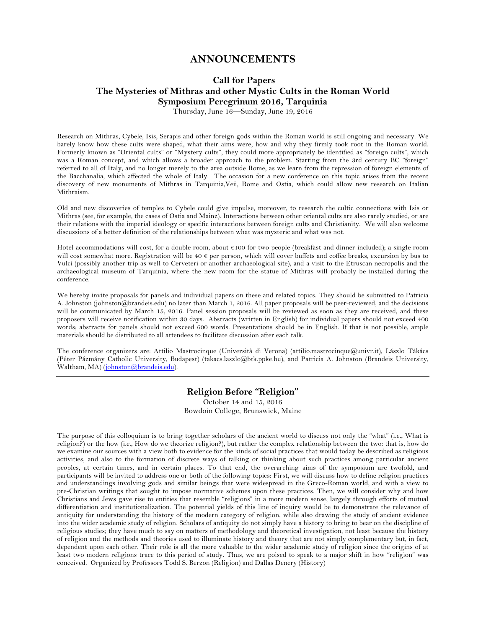## **ANNOUNCEMENTS**

# **Call for Papers The Mysteries of Mithras and other Mystic Cults in the Roman World Symposium Peregrinum 2016, Tarquinia**

Thursday, June 16—Sunday, June 19, 2016

Research on Mithras, Cybele, Isis, Serapis and other foreign gods within the Roman world is still ongoing and necessary. We barely know how these cults were shaped, what their aims were, how and why they firmly took root in the Roman world. Formerly known as "Oriental cults" or "Mystery cults", they could more appropriately be identified as "foreign cults", which was a Roman concept, and which allows a broader approach to the problem. Starting from the 3rd century BC "foreign" referred to all of Italy, and no longer merely to the area outside Rome, as we learn from the repression of foreign elements of the Bacchanalia, which affected the whole of Italy. The occasion for a new conference on this topic arises from the recent discovery of new monuments of Mithras in Tarquinia,Veii, Rome and Ostia, which could allow new research on Italian Mithraism.

Old and new discoveries of temples to Cybele could give impulse, moreover, to research the cultic connections with Isis or Mithras (see, for example, the cases of Ostia and Mainz). Interactions between other oriental cults are also rarely studied, or are their relations with the imperial ideology or specific interactions between foreign cults and Christianity. We will also welcome discussions of a better definition of the relationships between what was mysteric and what was not.

Hotel accommodations will cost, for a double room, about €100 for two people (breakfast and dinner included); a single room will cost somewhat more. Registration will be 40  $\epsilon$  per person, which will cover buffets and coffee breaks, excursion by bus to Vulci (possibly another trip as well to Cerveteri or another archaeological site), and a visit to the Etruscan necropolis and the archaeological museum of Tarquinia, where the new room for the statue of Mithras will probably be installed during the conference.

We hereby invite proposals for panels and individual papers on these and related topics. They should be submitted to Patricia A. Johnston (johnston@brandeis.edu) no later than March 1, 2016. All paper proposals will be peer-reviewed, and the decisions will be communicated by March 15, 2016. Panel session proposals will be reviewed as soon as they are received, and these proposers will receive notification within 30 days. Abstracts (written in English) for individual papers should not exceed 400 words; abstracts for panels should not exceed 600 words. Presentations should be in English. If that is not possible, ample materials should be distributed to all attendees to facilitate discussion after each talk.

The conference organizers are: Attilio Mastrocinque (Università di Verona) (attilio.mastrocinque@univr.it), Lászlo Tákács (Péter Pázmány Catholic University, Budapest) (takacs.laszlo@btk.ppke.hu), and Patricia A. Johnston (Brandeis University, Waltham, MA) (johnston@brandeis.edu).

## **Religion Before "Religion"**

October 14 and 15, 2016 Bowdoin College, Brunswick, Maine

The purpose of this colloquium is to bring together scholars of the ancient world to discuss not only the "what" (i.e., What is religion?) or the how (i.e., How do we theorize religion?), but rather the complex relationship between the two: that is, how do we examine our sources with a view both to evidence for the kinds of social practices that would today be described as religious activities, and also to the formation of discrete ways of talking or thinking about such practices among particular ancient peoples, at certain times, and in certain places. To that end, the overarching aims of the symposium are twofold, and participants will be invited to address one or both of the following topics: First, we will discuss how to define religion practices and understandings involving gods and similar beings that were widespread in the Greco-Roman world, and with a view to pre-Christian writings that sought to impose normative schemes upon these practices. Then, we will consider why and how Christians and Jews gave rise to entities that resemble "religions" in a more modern sense, largely through efforts of mutual differentiation and institutionalization. The potential yields of this line of inquiry would be to demonstrate the relevance of antiquity for understanding the history of the modern category of religion, while also drawing the study of ancient evidence into the wider academic study of religion. Scholars of antiquity do not simply have a history to bring to bear on the discipline of religious studies; they have much to say on matters of methodology and theoretical investigation, not least because the history of religion and the methods and theories used to illuminate history and theory that are not simply complementary but, in fact, dependent upon each other. Their role is all the more valuable to the wider academic study of religion since the origins of at least two modern religions trace to this period of study. Thus, we are poised to speak to a major shift in how "religion" was conceived. Organized by Professors Todd S. Berzon (Religion) and Dallas Denery (History)